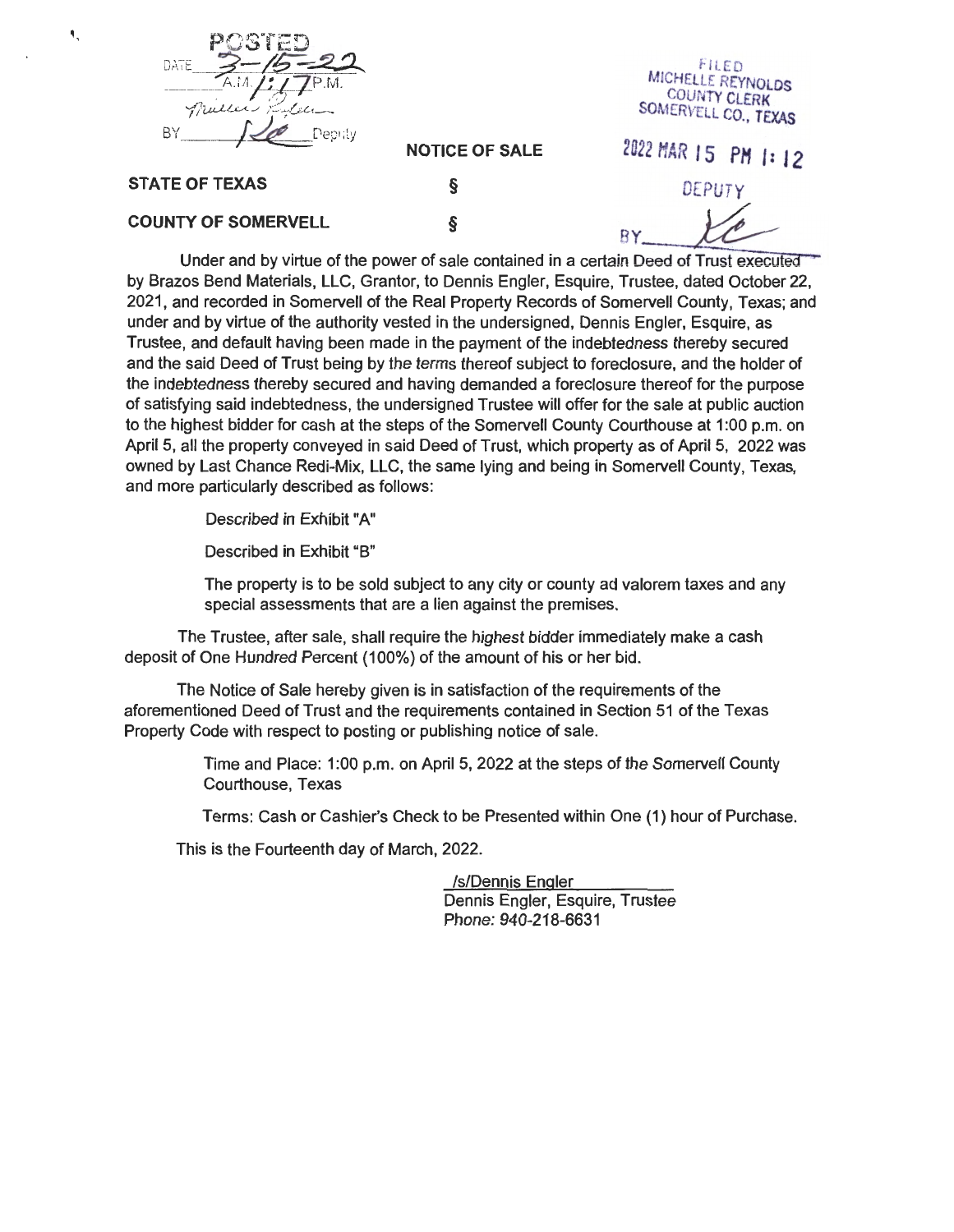

f-lLED MICHELLE REYNOLDS COUNTY CLERK SOMERVELL CO., TEXAS

**NOTICE OF SALE** 

### **STATE OF TEXAS**

۹,

DEPUT

### **COUNTY OF SOMERVELL**

§

§

2022 HAR 15 **PH I: 12** 

BY<br>Under and by virtue of the power of sale contained in a certain Deed of Trust executed by Brazos Bend Materials, LLC, Granter, to Dennis Engler, Esquire, Trustee, dated October 22, 2021, and recorded in Somervell of the Real Property Records of Somervell County, Texas; and under and by virtue of the authority vested in the undersigned, Dennis Engler, Esquire, as Trustee, and default having been made in the payment of the indebtedness thereby secured and the said Deed of Trust being by the terms thereof subject to foreclosure, and the holder of the indebtedness thereby secured and having demanded a foreclosure thereof for the purpose of satisfying said indebtedness, the undersigned Trustee will offer for the sale at public auction to the highest bidder for cash at the steps of the Somervell County Courthouse at 1 :00 p.m. on April 5, all the property conveyed in said Deed of Trust, which property as of April 5, 2022 was owned by Last Chance Redi-Mix, LLC, the same lying and being in Somervell County, Texas, and more particularly described as follows:

Described in Exhibit "A"

Described in Exhibit "B"

The property is to be sold subject to any city or county ad valorem taxes and any special assessments that are a lien against the premises.

The Trustee, after sale, shall require the highest bidder immediately make a cash deposit of One Hundred Percent (100%) of the amount of his or her bid.

The Notice of Sale hereby given is in satisfaction of the requirements of the aforementioned Deed of Trust and the requirements contained in Section 51 of the Texas Property Code with respect to posting or publishing notice of sale.

> Time and Place: 1 :00 p.m. on April 5, 2022 at the steps of the Somervell County Courthouse, Texas

Terms: Cash or Cashier's Check to be Presented within One (1) hour of Purchase.

This is the Fourteenth day of March, 2022.

ls/Dennis Engler Dennis Engler, Esquire, Trustee Phone: 940-218-6631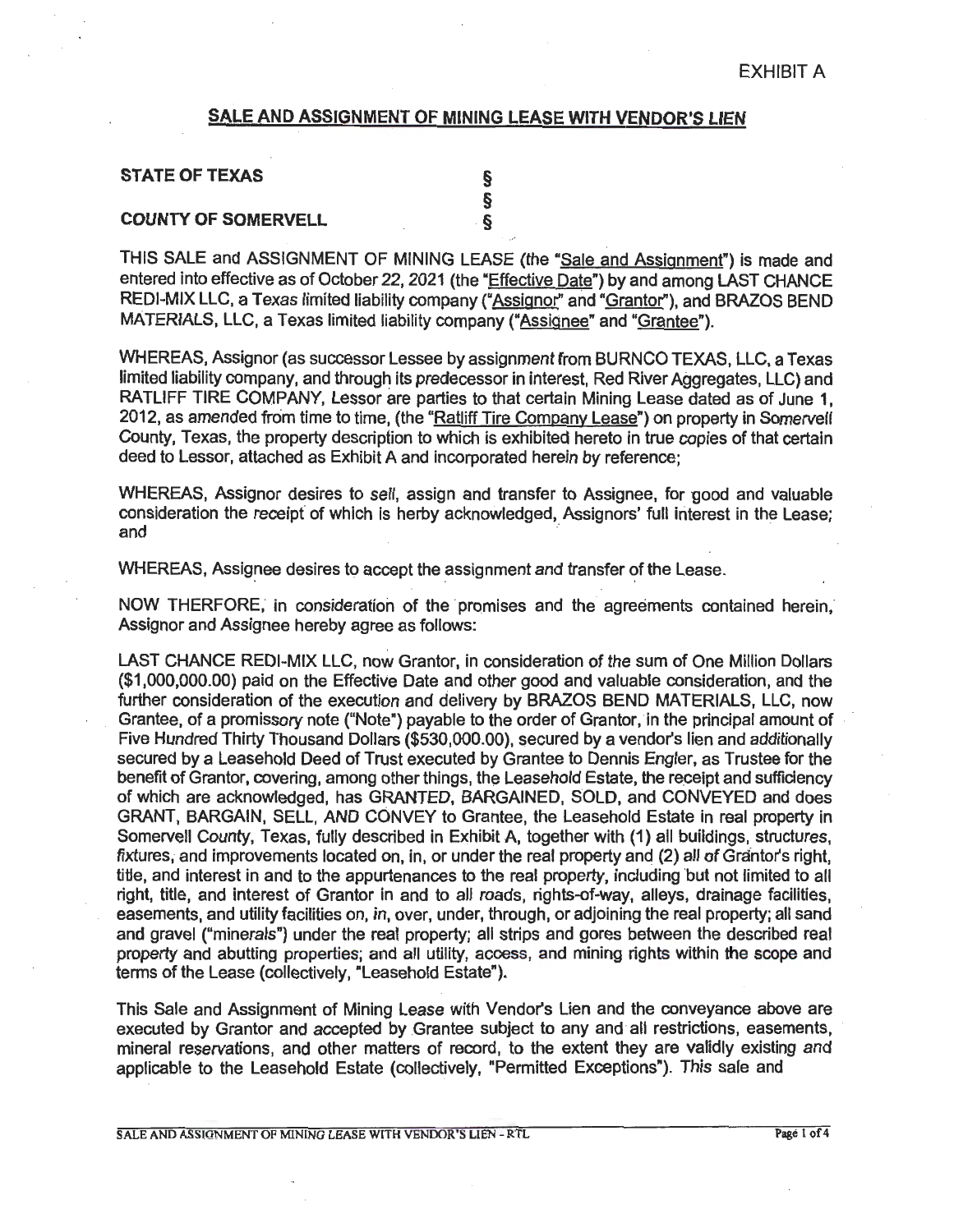### **SALE AND ASSIGNMENT OF MINING LEASE WITH VENDOR'S LIEN**

| <b>STATE OF TEXAS</b>      |  |
|----------------------------|--|
|                            |  |
| <b>COUNTY OF SOMERVELL</b> |  |

THIS SALE and ASSIGNMENT OF MINING LEASE (the "Sale and Assignment") is made and entered into effective as of October 22, 2021 (the "Effective Date") by and among LAST CHANCE REDI-MIX LLC, a Texas limited liability company ("Assignor" and "Grantor"), and BRAZOS BEND MATERIALS, LLC, a Texas limited liability company ("Assignee" and "Grantee").

WHEREAS, Assignor (as successor Lessee by assignment from BURNCO TEXAS, LLC, a Texas limited liability company, and through its predecessor in interest, Red River Aggregates, LLC) and RATLIFF TIRE COMPANY, Lessor are parties to that certain Mining Lease dated as of June 1. 2012, as amended from time to time, (the "Ratliff Tire Company Lease") on property in Somervell County, Texas, the property description to which is exhibited hereto in true copies of that certain deed to Lessor, attached as Exhibit A and incorporated herein by reference;

WHEREAS, Assignor desires to sell, assign and transfer to Assignee, for good and valuable consideration the receipt of which is herby acknowledged, Assignors' full interest in the Lease; and **and** *and and and and***</del> <b>***and and***</del> <b>***and and and***</del> <b>***and and* 

WHEREAS, Assignee desires to accept the assignment and transfer of the Lease.

NOW THERFORE, in consideration of the promises and the agreements contained herein, Assignor and Assignee hereby agree as follows:

LAST CHANCE REDI-MIX LLC, now Grantor, in consideration of the sum of One Million Dollars (\$1,000,000.00} paid on the Effective Date and other good and valuable consideration, and the further consideration of the execution and delivery by BRAZOS BEND MATERIALS, LLC, now Grantee, of a promissory note ("Note") payable to the order of Grantor, in the principal amount of Five Hundred Thirty Thousand Dollars (\$530,000.00), secured by a vendor's lien and additionally secured by a Leasehold Deed of Trust executed by Grantee to Dennis Engler, as Trustee for the benefit of Grantor, covering, among other things, the Leasehold Estate, the receipt and sufficiency of which are acknowledged, has GRANTED, BARGAINED, SOLD, and CONVEYED and does GRANT, BARGAIN, SELL, AND CONVEY to Grantee, the Leasehold Estate in real property in Somervell County, Texas, fully described in Exhibit A, together with (1) all buildings, structures, fixtures, and improvements located on, in, or under the real property and (2) all of Grantor's right, title, and interest in and to the appurtenances to the real property, including but not limited to all right, title, and interest of Grantor in and to all roads, rights-of-way, alleys, drainage facilities, easements, and utility facilities on, in, over, under, through, or adjoining the real property; all sand and gravel ("minerals") under the real property; all strips and gores between the described real property and abutting properties; and all utility, access, and mining rights within the scope and terms of the Lease (collectively, "Leasehold Estate").

This Sale and Assignment of Mining Lease with Vendor's Lien and the conveyance above are executed by Grantor and accepted by Grantee subject to any and all restrictions, easements, mineral reservations, and other matters of record, to the extent they are validly existing and applicable to the Leasehold Estate (collectively, "Permitted Exceptions"). This sale and

SALE AND ASSIGNMENT OF MINING LEASE WITH VENDOR'S LIEN - RTL Page 1 of 4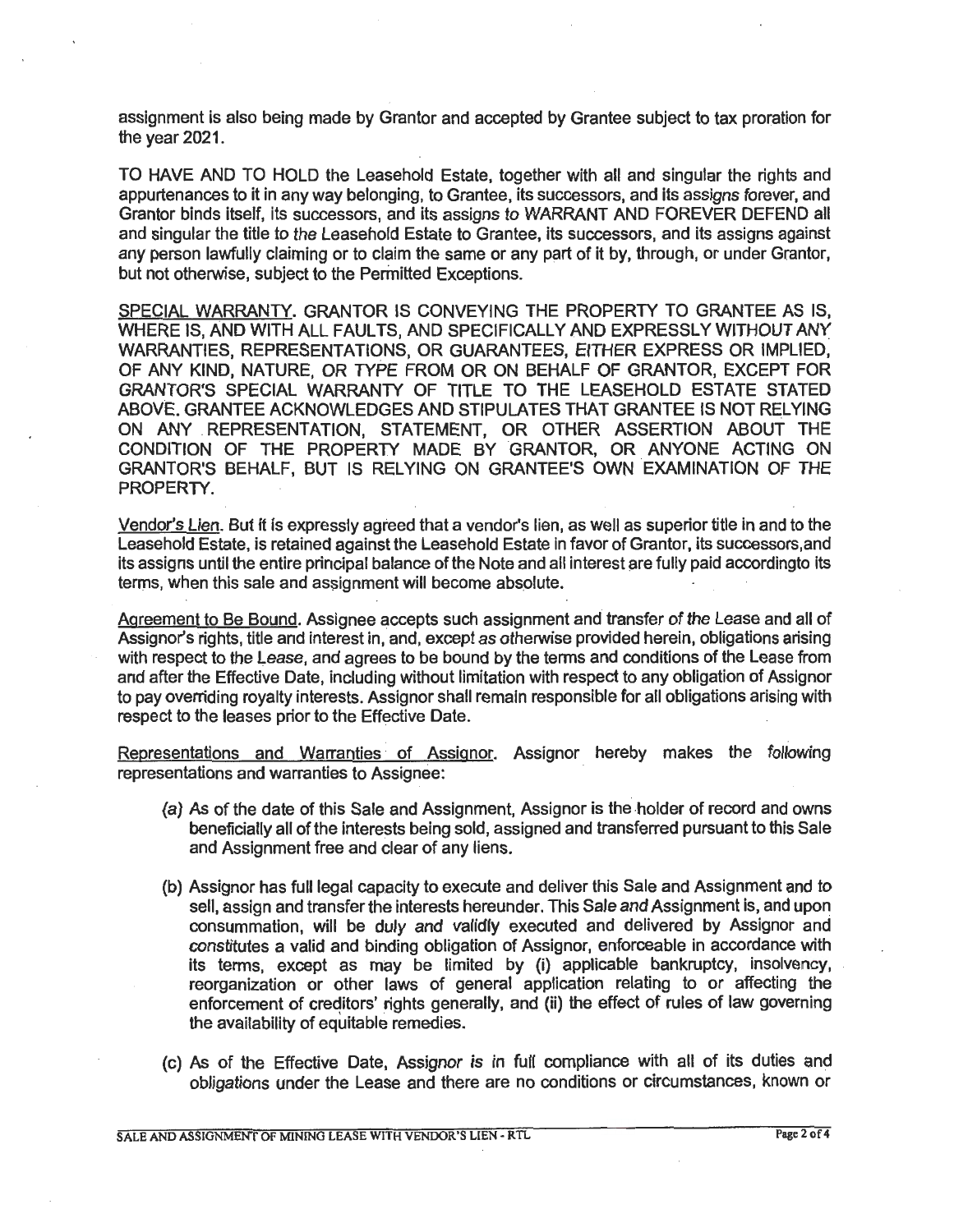assignment is also being made by Granter and accepted by Grantee subject to tax proration for the year 2021.

TO HAVE AND TO HOLD the Leasehold Estate, together with all and singular the rights and appurtenances to it in any way belonging, to Grantee, its successors, and its assigns forever, and Granter binds itself, its successors, and its assigns to WARRANT AND FOREVER DEFEND all and singular the title to the Leasehold Estate to Grantee, its successors, and its assigns against any person lawfully claiming or to claim the same or any part of it by, through, or under Grantor, but not otherwise, subject to the Permitted Exceptions.

SPECIAL WARRANTY. GRANTOR IS CONVEYING THE PROPERTY TO GRANTEE AS IS, WHERE IS, AND WITH ALL FAULTS, AND SPECIFICALLY AND EXPRESSLY WITHOUT ANY WARRANTIES, REPRESENTATIONS, OR GUARANTEES, EITHER EXPRESS OR IMPLIED, OF ANY KIND, NATURE, OR TYPE FROM OR ON BEHALF OF GRANTOR, EXCEPT FOR GRANTOR'S SPECIAL WARRANTY OF TITLE TO THE LEASEHOLD ESTATE STATED ABOVE. GRANTEE ACKNOWLEDGES AND STIPULATES THAT GRANTEE IS NOT RELYING ON ANY .REPRESENTATION, STATEMENT, OR OTHER ASSERTION ABOUT THE CONDITION OF THE PROPERTY MADE BY GRANTOR, OR ANYONE ACTING ON GRANTOR'S BEHALF, BUT IS RELYING ON GRANTEE'S OWN EXAMINATION OF THE PROPERTY.

Vendor's Lien. But it is expressly agreed that a vendor's lien, as well as superior title in and to the Leasehold Estate, is retained against the Leasehold Estate in favor of Grantor, its successors.and its assigns until the entire principal balance of the Note and all interest are fully paid accordingto its terms, when this sale and assignment will become absolute.

Agreement to Be Bound. Assignee accepts such assignment and transfer of the Lease and all of Assignor's rights, title and interest in, and, except as otherwise provided herein, obligations arising with respect to the Lease, and agrees to be bound by the terms and conditions of the lease from and after the Effective Date, including without limitation with respect to any obligation of Assignor to pay overriding royalty interests. Assignor shall remain responsible for all obligations arising with respect to the leases prior to the Effective Date.

Representations and Warranties of Assignor. Assignor hereby makes the following representations and warranties to Assignee:

- (a) As of the date of this Sale and Assignment, Assignor is the holder of record and owns beneficially all of the interests being sold, assigned and transferred pursuant to this Sale and Assignment free and clear of any liens.
- (b) Assignor has full legal capacity to execute and deliver this Sale and Assignment and to sell, assign and transfer the interests hereunder. This Sale and Assignment is, and upon consummation, will be duly and validly executed and delivered by Assignor and constitutes a valid and binding obligation of Assignor, enforceable in accordance with its terms, except as may be limited by (i) applicable bankruptcy, insolvency, reorganization or other laws of general application relating to or affecting the enforcement of creditors' rights generally, and (ii) the effect of rules of law governing the availability of equitable remedies.
- (c) As of the Effective Date, Assignor is in full compliance with all of its duties and obligations under the Lease and there are no conditions or circumstances, known or

SALE AND ASSIGNMENT OF MINING LEASE WITH VENDOR'S LIEN - RTL Page 2 of 4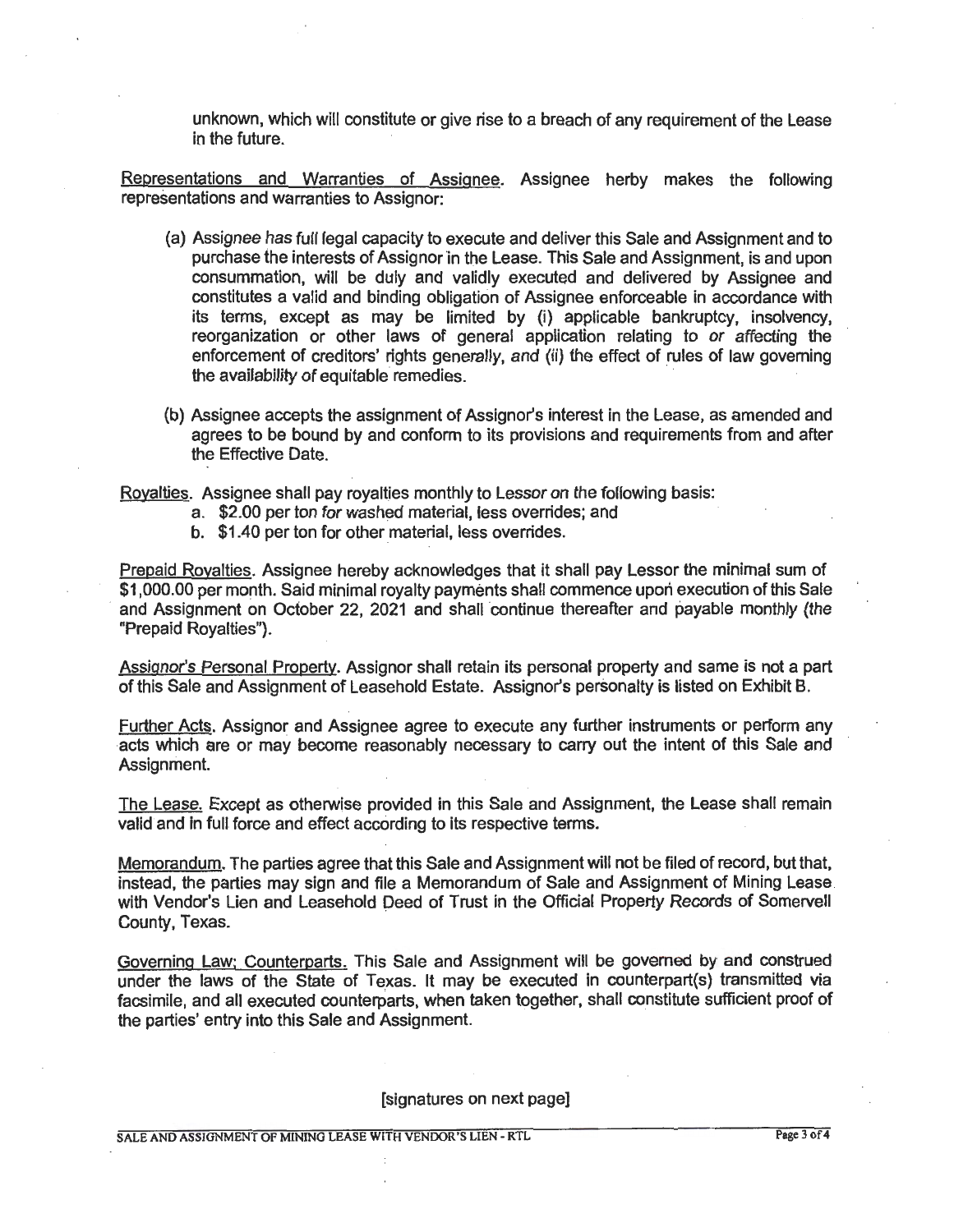unknown, which will constitute or give rise to a breach of any requirement of the Lease in the future.

Representations and Warranties of Assignee. Assignee herby makes the following representations and warranties to Assignor:

- (a) Assignee has full legal capacity to execute and deliver this Sale and Assignment and to purchase the interests of Assignor in the Lease. This Sale and Assignment, is and upon consummation, will be duly and validly executed and detivered by Assignee and constitutes a valid and binding obligation of Assignee enforceable in accordance with its terms, except as may be limited by (i) applicable bankruptcy, insolvency, reorganization or other laws of general application relating to or affecting the enforcement of creditors' rights generally, and (ii) the effect of rules of law governing the availability of equitable remedies.
- (b) Assignee accepts the assignment of Assignor's interest in the Lease, as amended and agrees to be bound by and conform to its provisions and requirements from and after the Effective Date.

Royalties. Assignee shall pay royalties monthly to Lessor on the following basis:

- a. \$2.00 per ton for washed material, less overrides; and
- b. \$1.40 per ton for other material, less overrides.

Prepaid Royalties. Assignee hereby acknowledges that it shall pay Lessor the minimal sum of \$1,000.00 per month. Said minimal royalty payments shall commence upon execution of this Sale and Assignment on October 22, 2021 and shall continue thereafter and payable monthly (the "Prepaid Royalties").

Assignor's Personal Property. Assignor shall retain its personal property and same is not a part of this Sale and Assignment of Leasehold Estate. Assignor's personalty is listed on Exhibit B.

Further Acts. Assignor and Assignee agree to execute any further instruments or perform any acts which are or may become reasonably necessary to carry out the intent of this Sale and Assignment.

The Lease. Except as otherwise provided in this Sale and Assignment, the Lease shall remain valid and in full force and effect according to its respective terms.

Memorandum. The parties agree that this Sale and Assignment will not be filed of record, but that, instead, the parties may sign and file a Memorandum of Sale and Assignment of Mining Lease. with Vendor's Lien and Leasehold Deed of Trust in the Official Property Records of Somervell County, Texas.

Governing Law: Counterparts. This Sale and Assignment will be governed by and construed under the laws of the State of Texas. It may be executed in counterpart(s) transmitted via facsimile, and all executed counterparts, when taken together, shall constitute sufficient proof of the parties' entry into this Sale and Assignment.

[signatures on next page]

SALE AND ASSUJNMENT OF MINING LEASE WITH VENDOR'S LIEN - RTL Page 3 of 4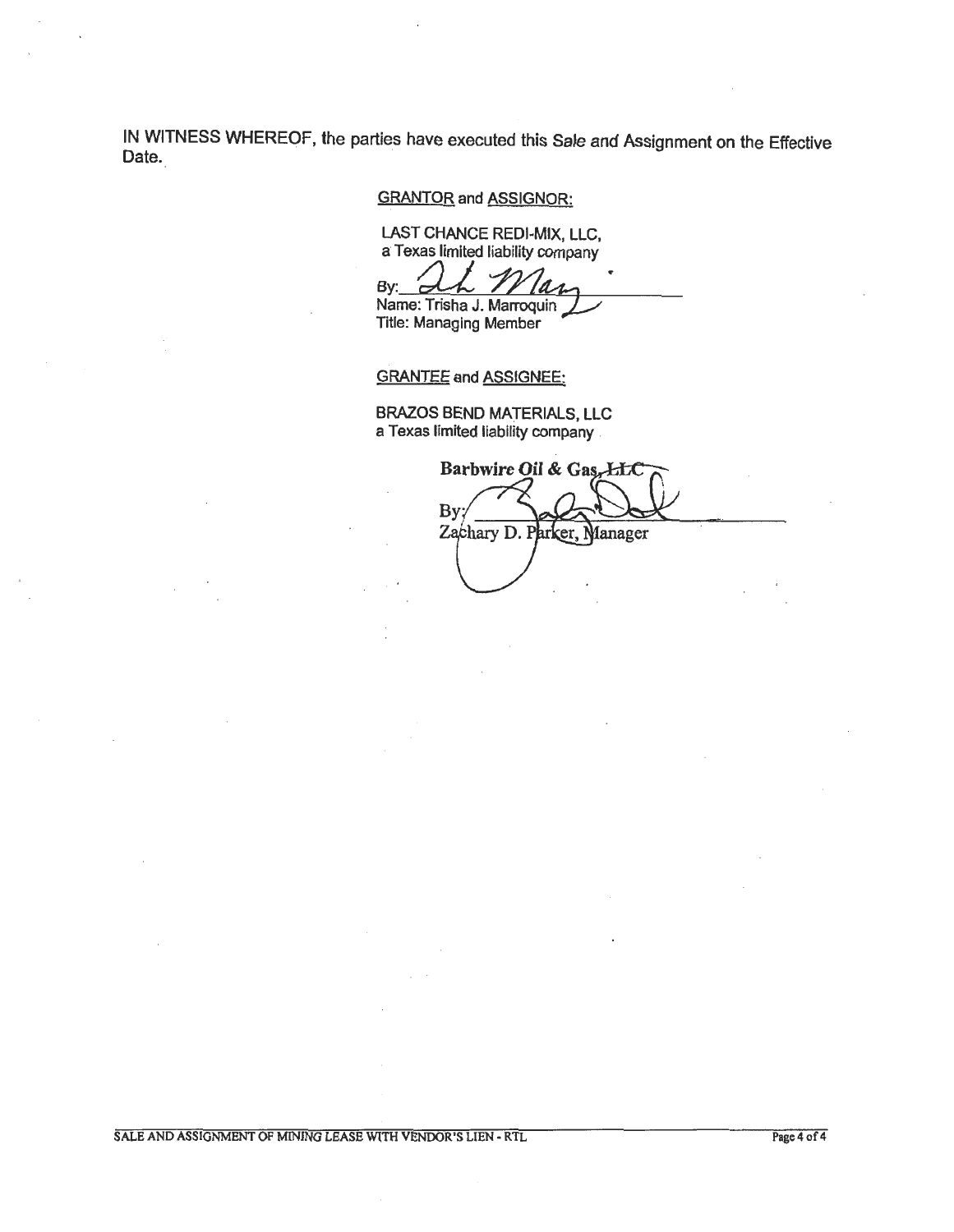IN WITNESS WHEREOF, the parties have executed this Sale and Assignment on the Effective Date.

GRANTOR and ASSIGNOR:

LAST CHANCE REDI-MIX, LLC, a Texas limited liability company

EAST CHANCE REDI-MIX, LLC,<br>a Texas limited liability company<br>By: **Whene: Trisha J. Marroquin** Title: Managing Member

GRANTEE and ASSIGNEE:

BRAZOS BEND MATERIALS, LLC a Texas limited liability company .

Barbwire Oil & Gas, LLC By Zachary D. Parker, Manager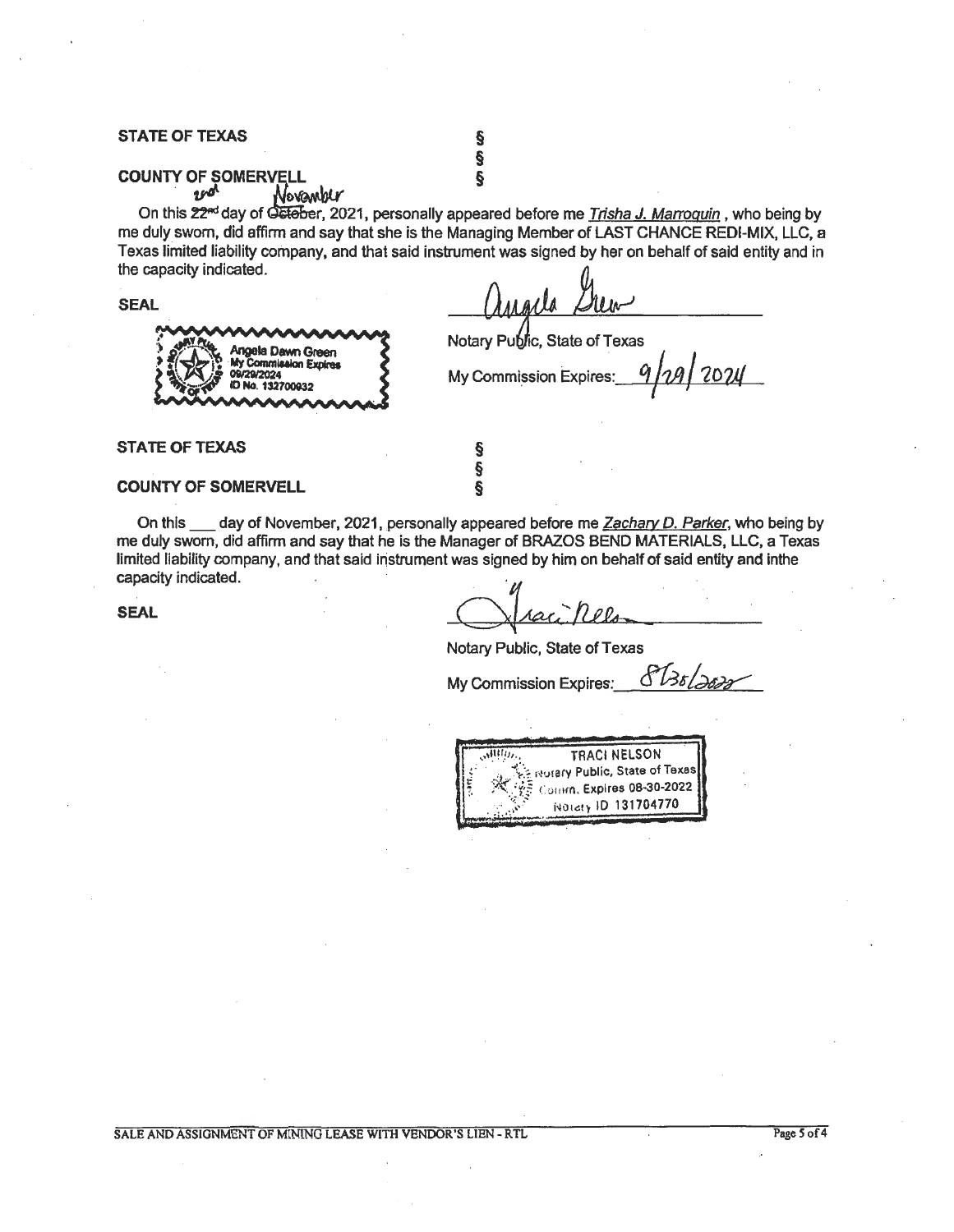### **STATE OF TEXAS** §

# **county of somervell**<br> *the* **county of Somervell**

Angela Dawn Green My Commission Expires 29/2024 Vo. 132700932

On this 22<sup>nd</sup> day of Getober, 2021, personally appeared before me *Trisha J. Marroguin*, who being by me duly sworn, did affirm and say that she is the Managing Member of LAST CHANCE REDI-MIX, LLC, a Texas limited liability company, and that said instrument was signed by her on behalf of said entity and in the capacity indicated.

§

**SEAL** 

Notary Public, State of Texas

My Commission Expires: 9 *10* **2024** 

### **STATE OF TEXAS**

### **COUNTY OF SOMERVELL**

On this \_\_\_ day of November, 2021, personally appeared before me Zachary D. Parker, who being by me duly sworn, did affirm and say that he is the Manager of BRAZOS BEND MATERIALS, LLC, a Texas limited liability company, and that said instrument was signed by him on behalf of said entity and inthe capacity indicated.

§ § §

**SEAL** 

Notary Public, State of Texas

My Commission Expires:  $\frac{\partial^2 B}{\partial x \partial y}$ 

 $x<sub>1111</sub>$ *,*,  $x<sub>1111</sub>$ ,  $x<sub>1111</sub>$ ,  $x<sub>1111</sub>$ ,  $x<sub>1111</sub>$ ,  $x<sub>1111</sub>$ ,  $x<sub>1111</sub>$ ,  $x<sub>1111</sub>$ ,  $x<sub>1111</sub>$ ,  $x<sub>11111</sub>$ ,  $x<sub>11111</sub>$ ,  $x<sub>11111</sub>$ ,  $x<sub>11111</sub>$ ,  $x<sub>11111</sub>$ ,  $x<$ I~ : ·; · .,,;} 1~u1ary Public. State of Texas **I**  $_{\tiny{\text{C}\text{O}}\cap\text{r}\cap\mathfrak{n}}$ , Expires 08-30-2022 j . . > .. *)>::* i~OlG!~ ID 131704770

SALE AND ASSIGNMENT OF MINING LEASE WITH VENDOR'S LIEN - RTL Page *S* of4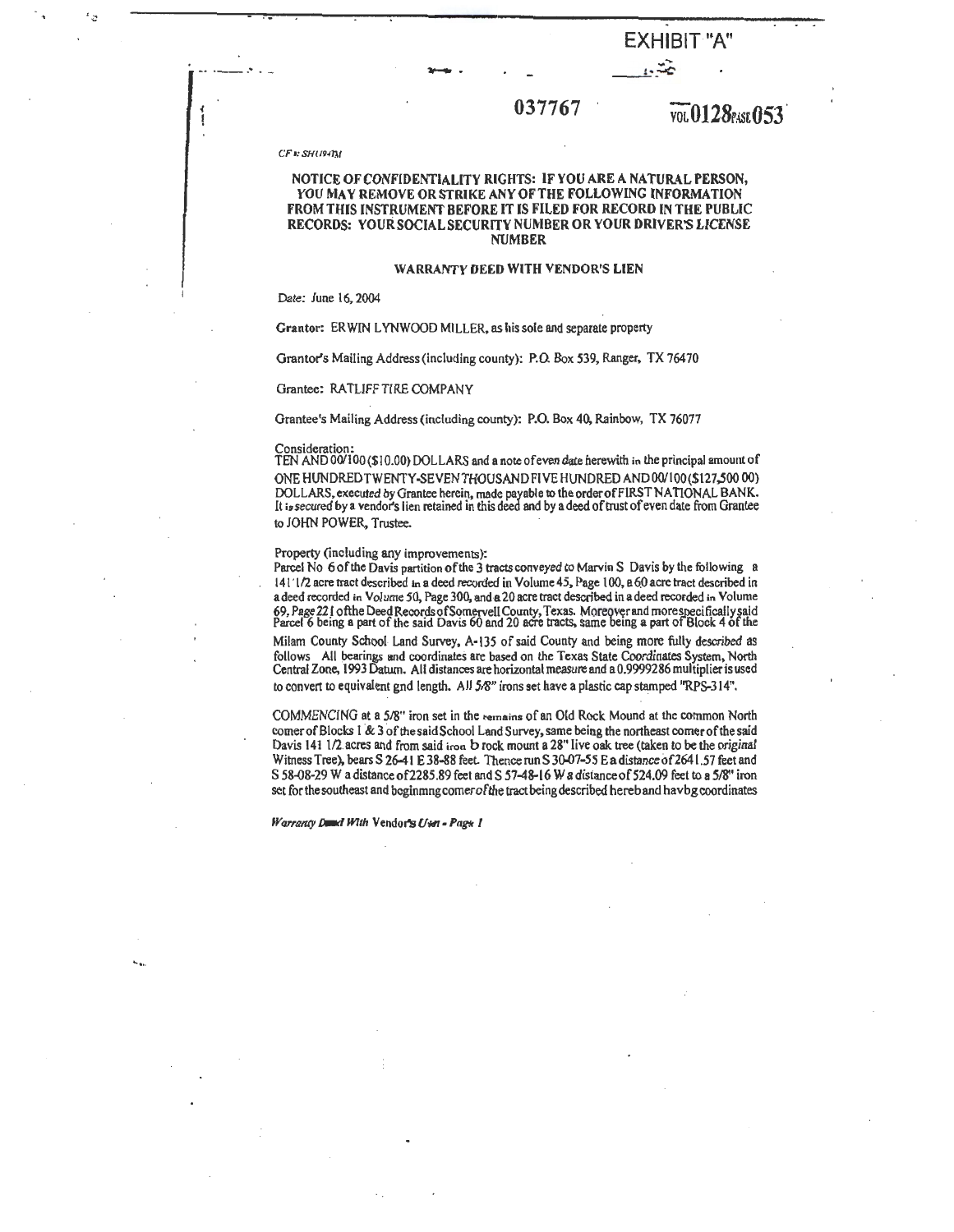# $-4.37767$ <br>037767  $\overline{v_0}$ 0128PASE053

*CF•: SHl/P,r/,/* 

-- ·--··

### NOTICE OF CONFIDENTIALITY RIGHTS: IF YOU ARE A NATURAL PERSON, YOU MAY REMOVE OR STRIKE ANY OF THE FOLLOWING INFORMATION FROM THIS INSTRUMENT BEFORE IT IS FILED FOR RECORD IN THE PUBLIC RECORDS: YOUR SOCIAL SECURITY NUMBER OR YOUR DRIVER'S LICENSE NUMBER

### **WARRANTY** DEED WITH VENDOR'S LIEN

Date: June 16, 2004

Grantor: ERWlN LYNWOOD MILLER. as his sole and separate property

Grantor's Mailing Address (including county): P.O. Box 539, Ranger, TX 76470

### Grantee: RATLIFF TIRE COMPANY

Grantee's Mailing Address (including county): P.O. Box 40, Rainbow, TX 76077

Consideration: TEN AND 00/100 (\$ I 0.00) DOLLARS and a note ofeven date herewith in the principal amount of ONEHUNDREDTWENTY-SEVENTHOUSANDFIVEHUNDREDAND00/100(\$127.50000) DOLLARS, executed by Grantee herein, made payable to the orderofFIRST NATIONAL BANK. It is secured by a vendor's lien retained in this deed and by a deed of trust of even date from Grantee to JOHN POWER, Trustee.

### Property (including any improvements):

Parcel No 6 of the Davis partition of the 3 tracts conveyed to Marvin S Davis by the following a 141 'l/2 acre tract described 1n a deed recorded in Volume 45, Page 100, a6.0acre tract described in a deed recorded in Volume 50, Page 300, and a 20 acre tract described in a deed recorded in Volume 69, Page 22 l ofthe Deed Records of Somervell County, Texas. Moreover and morespecifically said<br>Parcel 6 being a part of the said Davis 60 and 20 acre tracts, same being a part of Block 4 of the

Milam County School Land Survey, A-135 of said County and being more fully described as follows All bearings and coordinates are based on the Texas State Coordinates System, North Central Zone, 1993 Datum. All distances are horizontal measure and a0.9999286 multiplieris used to convert to equivalent gnd length. All 5/8" irons set have a plastic cap stamped "RPS-314".

COMMENCING at a 5/8" iron set in the remains of an Old Rock Mound at the common North comer of Blocks I & 3 of the said School Land Survey, same being the northeast comer of the said Davis 141 1/2 acres and from said iron b rock mount a 28" live oak tree (taken to be the original Witness Tree), bears S 26-41 E 38-88 feet. Thence run S 30-07-55 E a distance of 2641.57 feet and S 58-08-29 W a distance of 2285.89 feet and S 57-48-16 W a distance of 524.09 feet to a 5/8" iron set for the southeast and bcginmng comerofthe tract being described hereb and havbg coordinates

*Warranty Dand With Vendor's Usn - Pags 1* 

......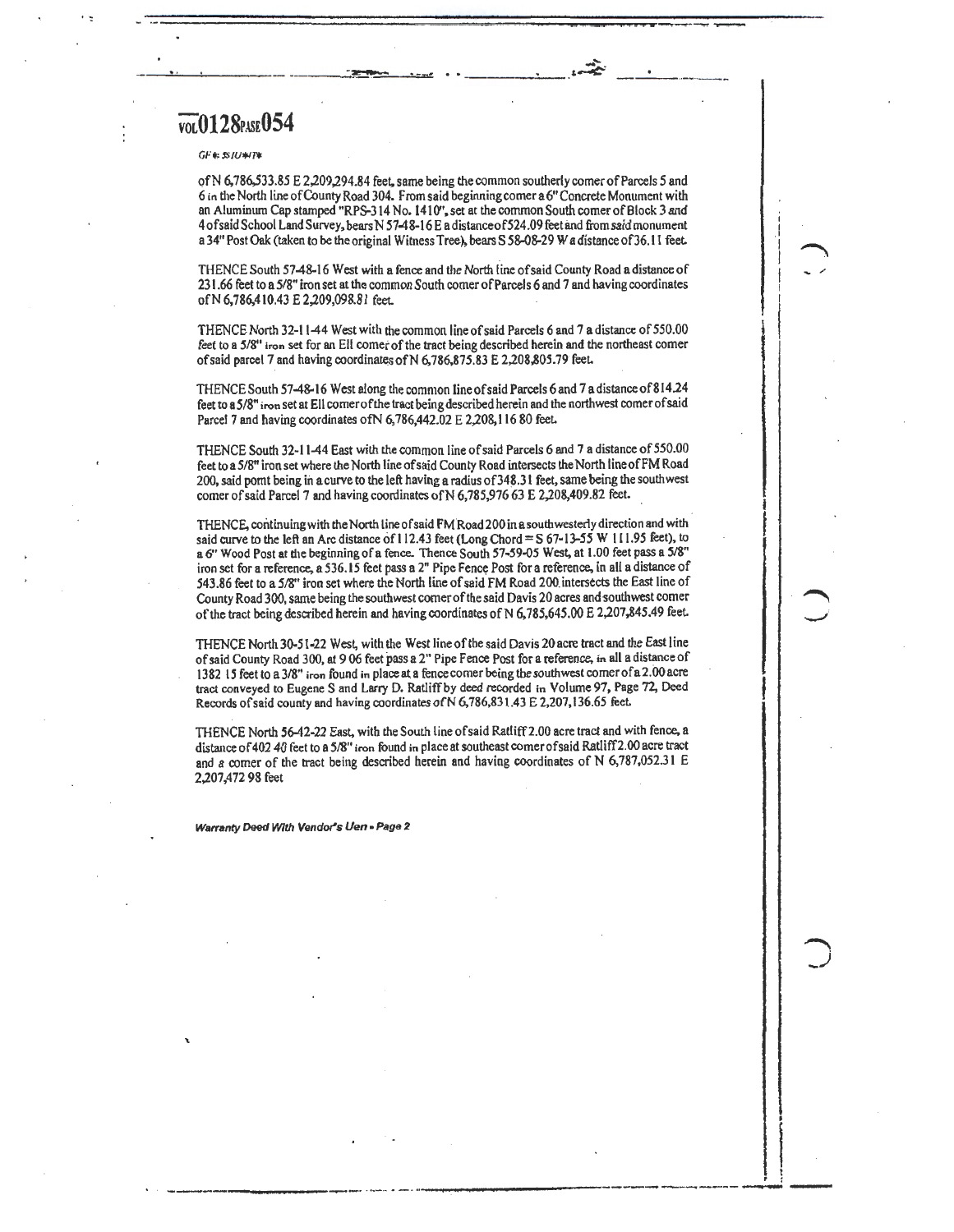## $\overline{\text{vol}}$ 0128<sub>PASE</sub>054

### $GF$  +  $S$  / $U$  +  $T$  +

ofN 6,786,533.85 E 2,209,294.84 feet, same being the common southerly comer of Parcels *5* and 6 in the North line of County Road 304. From said beginning comer a6" Concrete Monument with an Aluminum Cap stamped "RPS-314 No. 1410", set at the common South comer of Block 3 and 4ofsaid School Land Survey, bears N 57-48-16 E adistanceof524.09 feet and from said monument a 34" Post Oak (taken to be the original Witness Tree), bears S 58-08-29 W a distance of 36.11 feet.

 $\overline{\phantom{a}}$ 

I .1 I I I I

 $\begin{array}{c} \begin{array}{c} \begin{array}{c} \begin{array}{c} \end{array}\\ \begin{array}{c} \end{array}\\ \begin{array}{c} \end{array}\\ \begin{array}{c} \end{array}\\ \begin{array}{c} \end{array}\\ \begin{array}{c} \end{array}\\ \begin{array}{c} \end{array}\\ \begin{array}{c} \end{array}\\ \begin{array}{c} \end{array}\\ \begin{array}{c} \end{array}\\ \begin{array}{c} \end{array}\\ \begin{array}{c} \end{array}\\ \begin{array}{c} \end{array}\\ \begin{array}{c} \end{array}\\ \begin{array}{c} \end{array}\\ \begin{array}{c} \end{array}\\ \begin{array}{c}$ 

-/

i t . :

\_\_\_\_ ·..,--;....: , .. ..,.

THENCE South 57-48-16 West with a fence and the North iineofsaid County Road a distance of 231.66 feet to a 5/8" iron set at the common South comer of Parcels 6 and 7 and having coordinates ofN 6,786,410.43 E 2,209,098.81 feet

THENCE North 32-11-44 West with the common line of said Parcels 6 and 7 a distance of 550.00 feet to **a 5/8"** iron set for an Ell comer of the tract being described herein and the northeast comer of said parcel 7 and having coordinates of N 6,786,875.83 E 2,208,805.79 feet.

THENCE South 57-48-16 West along the common line of said Parcels 6 and 7 a distance of 814.24 feet to **aS/8"** iron set at Ell comerofthe tract being described herein and the northwest comer of said Parcel 7 and having coordinates of N 6,786,442.02 E 2,208,116 80 feet.

THENCE South 32-11-44 East with the common line of said Parcels 6 and 7 a distance of 550.00 feet to a 5/8" iron set where the North line of said County Road intersects the North lineofFM Road 200, said pomt being in a curve to the left having a radius of 348.31 feet, same being the southwest comer of said Parcel 7 and having coordinates of N 6,785,976 63 E 2,208,409.82 feet.

THENCE, continuing with the North line of said FM Road 200 in a southwesterly direction and with said curve to the left an Arc distance of 112.43 feet (Long Chord =  $S$  67-13-55 W 111.95 feet), to a 6" Wood Post at the beginning of a fence. Thence South 57-59-05 West, at 1.00 feet pass a 5/8" iron set for a reference, a 536.15 feet pass a 2" Pipe Fence Post for a reference, in all a distance of 543.86 feet to a 5/8" iron set where the North line of said FM Road 200 intersects the East line of County Road 300, same being the southwest corner of the said Davis 20 acres and-southwest comer of the tract being described herein and having coordinates of N 6. 785,645.00 E 2,207,845.49 feet.

THENCE North 30-51-22 West, with the West line of the said Davis 20 acre tract and the East line of said County Road 300, at 9 06 feet pass a 2" Pipe Fence Post for a reference, in all a distance of 1382 I 5feet to a 3/8" iron found in place at a fence comer being the southwest comer ofa 2.00 acre tract conveyed to Eugene Sand Larry D. Ratliff by deed recorded in Volume 97, Page 72, Deed Records of said county and having coordinates of N 6,786,831.43 E 2,207,136.65 feet.

THENCE North 56-42-22 East, with the South line of said Ratliff2.00 acre tract and with fence, a distance of 402 40 feet to a 5/8" iron found in place at southeast comer of said Ratliff2.00 acre tract and a comer of the tract being described herein and having coordinates of N 6,787,052.3 I E 2,207,472 98 feet

\_\_\_\_\_\_ \_.\_ .,. \_\_\_\_ ... \_\_\_\_\_\_\_\_\_\_\_\_\_\_\_\_\_\_\_\_\_\_ .\_........... ---

**Warranty Deed With Vendor's Uen - Page 2**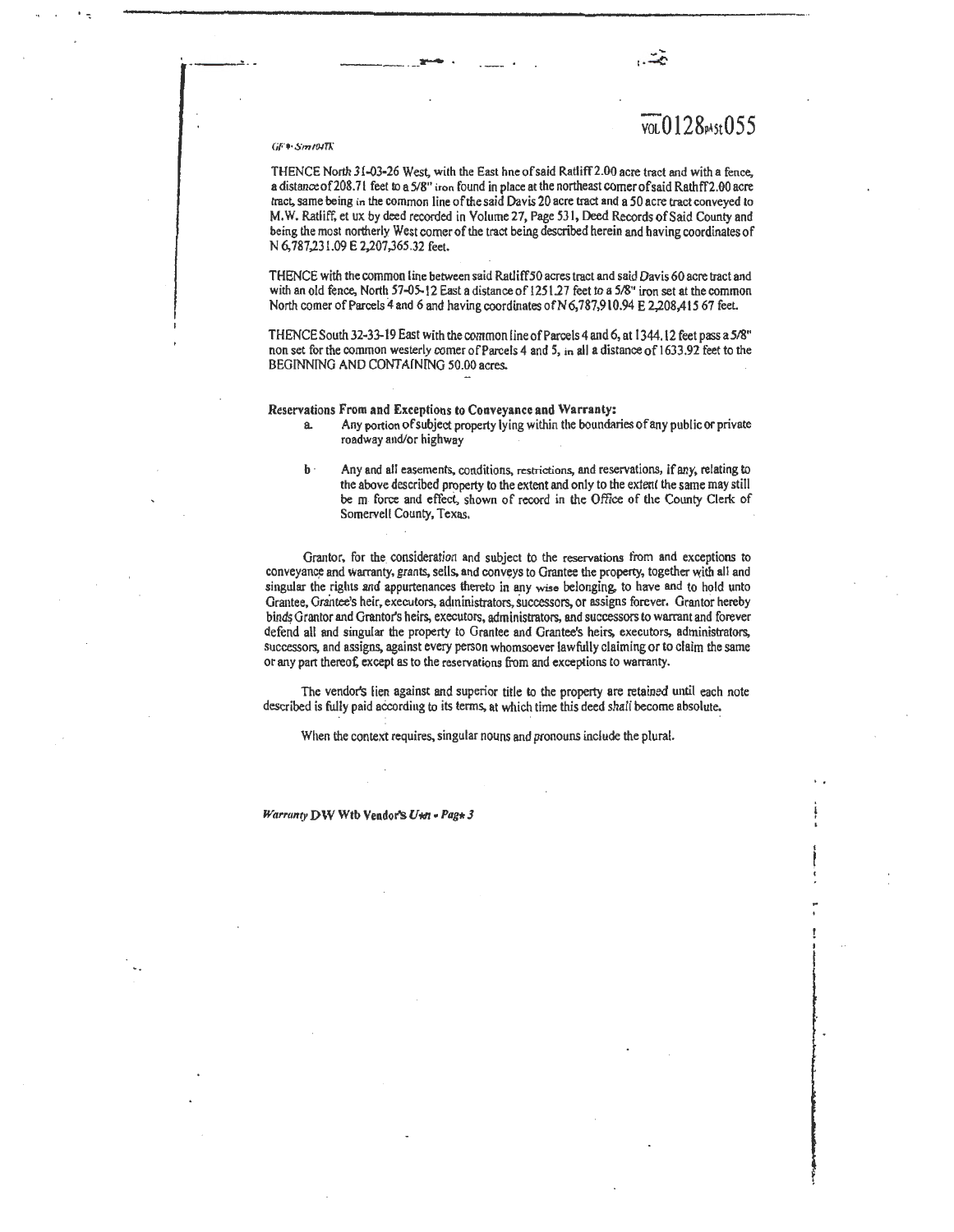### VOLO I28pA5t055

### $GF$  + Sm  $I$ M $T$ k

·---~-· -----·---

THENCE North 31-03-26 West, with the East hne of said Ratliff2.00 acre tract and with a fence, a distance of 208.71 feet to a 5/8" iron found in place at the northeast comer of said Rathff 2.00 acre tract, same being in the common line of the said Davis 20 acre tract and a 50 acre tract conveyed to M, W. Ratliff. et ux by deed recorded in Volume 27, Page 531, Deed Records of Said County and being the most northerly West comer of the tract being described herein and having coordinates of N 6,787,231.09 E 2,207,365.32 feet.

THENCE with the common line between said Ratliff50 acres tract and said Davis 60 acre tract and with an old fence, North 57-05-12 East a distance of 1251.27 feet to a 5/8" iron set at the common North comer of Parcels 4 and 6 and having coordinates of N 6,787,910.94 E 2,208,415 67 feet.

THENCE South 32-33-19 East with the common line of Parcels 4 and 6, at 1344.12 feet pass a 5/8" non set for the common westerly comer of Parcels 4 and 5, in all a distance of 1633.92 feet to the BEGINNING AND CONTAINING 50.00 acres.

### Reservations From and Exceptions to Conveyance and Warranty:

- a. Any portion of subject property lying within the boundaries of any public or private roadway and/or highway
- b · Any and all easements, conditions, restrictions, and reservations, if any, relating to the above described property to the extent and only to the extent the same may still be m force and effect, shown of record in the Office of the County Clerk of Somervell County, Texas.

Grantor, for the consideration and subject to the reservations from and exceptions to conveyance and warranty, grants, sells, and conveys to Grantee the property, together with all and singular the rights and appurtenances thereto in any wise belonging. to have and to hold unto Grantee, Grantee's heir, executors, administrators, successors, or assigns forever. Grantor hereby binds Grantor and Grantor's heirs, executors, administrators, and successors to warrant and forever defend all and singular the property to Grantee and Grantee's heirs, executors, administrators, successors, and assigns, against every person whomsoever lawfully claiming or to claim the same or any part thereat; except as to the reservations from and exceptions to warranty.

The vendor's lien against and superior title to the property are retained until each note described is fully paid according to its terms, at which time this deed shall become absolute.

When the context requires, singular nouns and pronouns include the plural.

*Warranty DW Wtb Vendor's U\*n - Pag\* 3*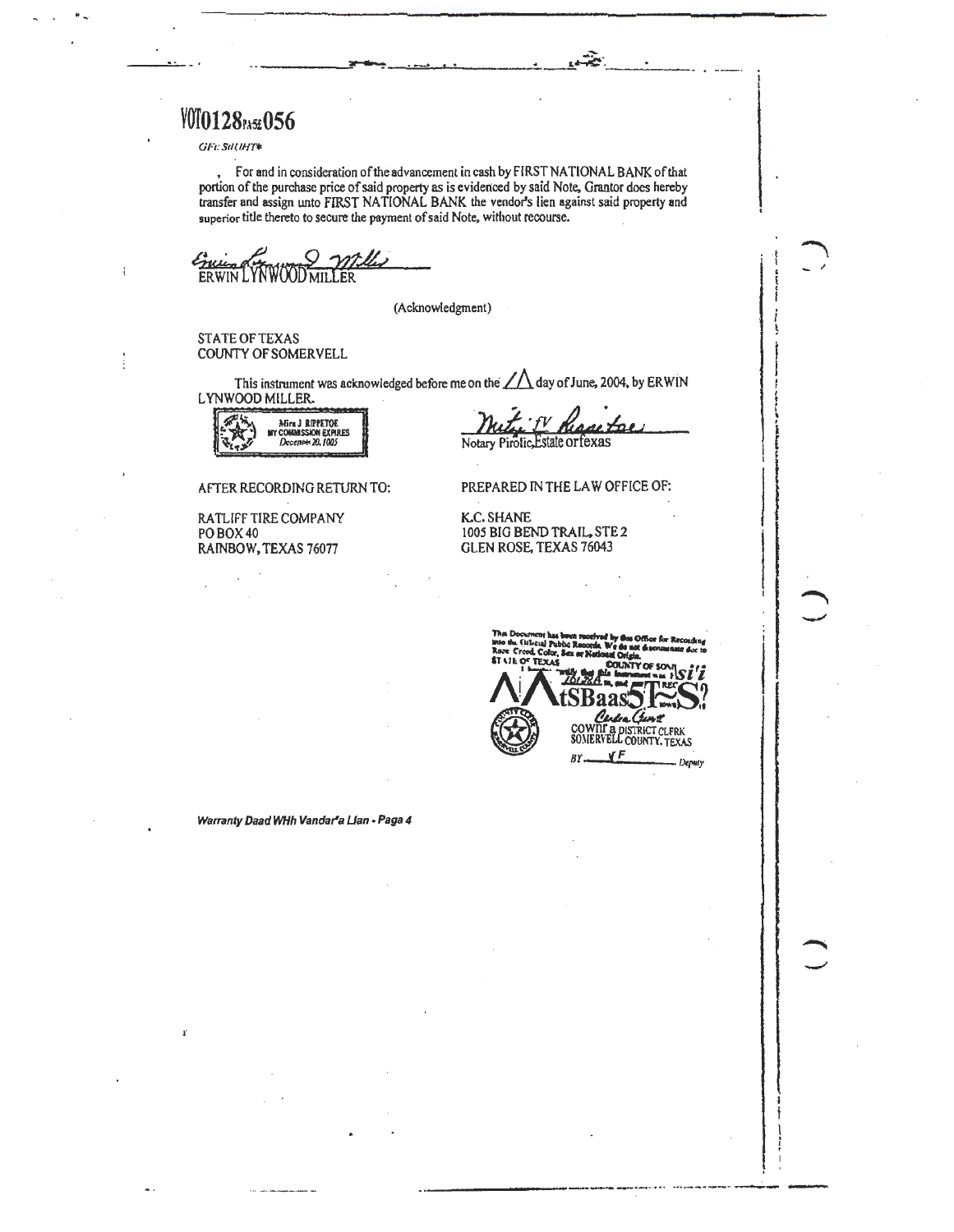**VOTO128** PASE 056

GFt: StILIHT\*

 $\ddot{\cdot}$ 

For and in consideration of the advancement in cash by FIRST NATIONAL BANK of that portion of the purchase price of said property as is evidenced by said Note, Grantor does hereby transfer and assign unto FIRST NATIONAL BANK the vendor's lien against said property and superior title thereto to secure the payment of said Note, without recourse.

Environ WWOODWILLER

(Acknowledgment)

**STATE OF TEXAS COUNTY OF SOMERVELL** 

This instrument was acknowledged before me on the  $\angle\triangle$  day of June, 2004, by ERWIN LYNWOOD MILLER.

NEVA J RIPPETOR<br>NY CONNAISSION EXPIRES<br>Decembr 20, 1005

AFTER RECORDING RETURN TO:

RATLIFF TIRE COMPANY PO BOX 40 RAINBOW, TEXAS 76077

Estate orfe Notary Pirolic,

PREPARED IN THE LAW OFFICE OF:

**K.C. SHANE** 1005 BIG BEND TRAIL, STE 2 **GLEN ROSE, TEXAS 76043** 

**COUNTY OF SONI** 

 $BY$ 

Centre Cunt<br>COWNT & DISTRICT CLERK<br>SOMERVELL COUNTY, TEXAS  $\sqrt{F}$ Deputy

Warranty Daad WHh Vandar'a Llan - Paga 4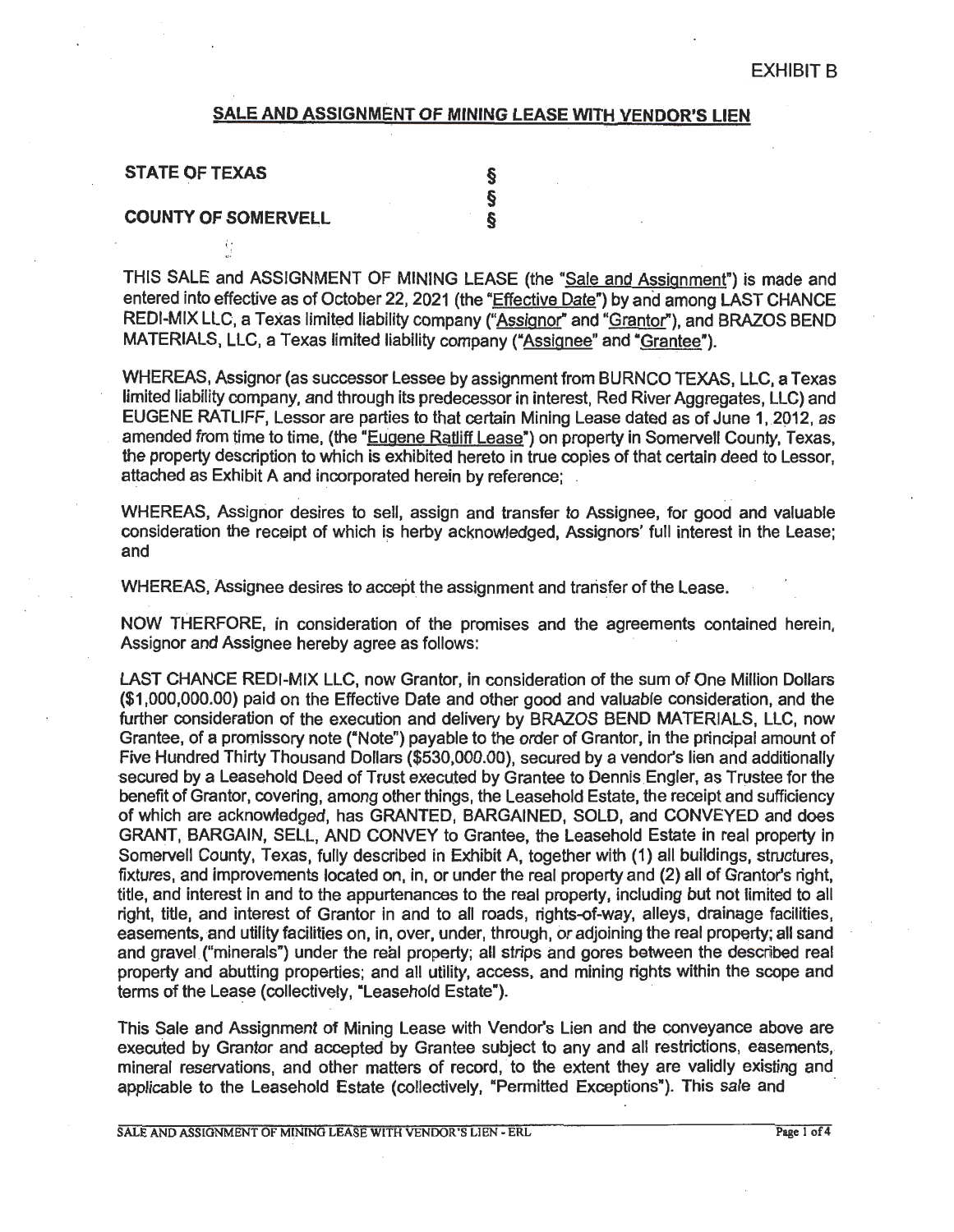### **SALE AND ASSIGNMENT OF MINING LEASE WITH VENDOR'S LIEN**

| <b>STATE OF TEXAS</b>      |  |
|----------------------------|--|
|                            |  |
| <b>COUNTY OF SOMERVELL</b> |  |

号

THIS SALE and ASSIGNMENT OF MINING LEASE (the "Sale and Assignment") is made and entered into effective as of October 22, 2021 (the "Effective Date") by and among LAST CHANCE REDI-MIX LLC, a Texas limited liability company ("Assignor" and "Grantor"), and BRAZOS BEND MATERIALS, LLC, a Texas limited liability company ("Assignee" and "Grantee").

WHEREAS, Assignor (as successor Lessee by assignment from BURNCO TEXAS, LLC, a Texas limited liability company, and through its predecessor in interest, Red River Aggregates, LLC) and EUGENE RATLIFF, Lessor are parties to that certain Mining Lease dated as of June 1,2012, as amended from time to time, (the "Eugene Ratliff Lease") on property in Somervell County, Texas, the property description to which is exhibited hereto in true copies of that certain deed to Lessor, attached as Exhibit A and incorporated herein by reference;

WHEREAS, Assignor desires to sell, assign and transfer to Assignee, for good and valuable consideration the receipt of which is herby acknowledged, Assignors' full interest in the Lease; and **and** *and* 

. . .

WHEREAS, Assignee desires to accept the assignment and transfer of the Lease.

NOW THERFORE, in consideration of the promises and the agreements contained herein, Assignor and Assignee hereby agree as follows:

LAST CHANCE REDI-MIX LLC, now Granter, in consideration of the sum of One Million Dollars (\$1,000,000.00) paid on the Effective Date and other good and valuable consideration, and the further consideration of the execution and delivery by BRAZOS BEND MATERIALS, LLC, now Grantee, of a promissory note ("Note") payable to the order of Granter, in the principal amount of Five Hundred Thirty Thousand Dollars (\$530,000.00), secured by a vendor's lien and additionally secured by a Leasehold Deed of Trust executed by Grantee to Dennis Engler, as Trustee for the benefit of Grantor, covering, among other things, the Leasehold Estate, the receipt and sufficiency of which are acknowledged, has GRANTED, BARGAINED, SOLD, and CONVEYED and does **GRANT, BARGAIN,** SELL, **AND CONVEY** to Grantee, the Leasehold Estate in real property in Somervell County, Texas, fully described in Exhibit A, together with (1) all buildings, structures, fixtures, and improvements located on, in, or under the real property and (2) all of Grantor's right, title, and interest in and to the appurtenances to the real property, including but not limited to all right, title, and interest of Grantor in and to all roads, rights-of-way, alleys, drainage facilities, easements, and utility facilities on, in, over, under, through, or adjoining the real property; all sand and gravel ("minerals") under the real property; all strips and gores between the described real property and abutting properties; and all utility, access, and mining rights within the scope and terms of the Lease (collectively, "Leasehold Estate").

This Sale and Assignment of Mining Lease with Vendor's Lien and the conveyance above are executed by Granter and accepted by Grantee subject to any and all restrictions, easements, mineral reservations, and other matters of record, to the extent they are validly existing and applicable to the Leasehold Estate (collectively, "Permitted Exceptions"). This sale and

SALE AND ASSIGNMENT OF MINING LEASE WITH VENDOR'S LIEN - ERL Page 1 of 4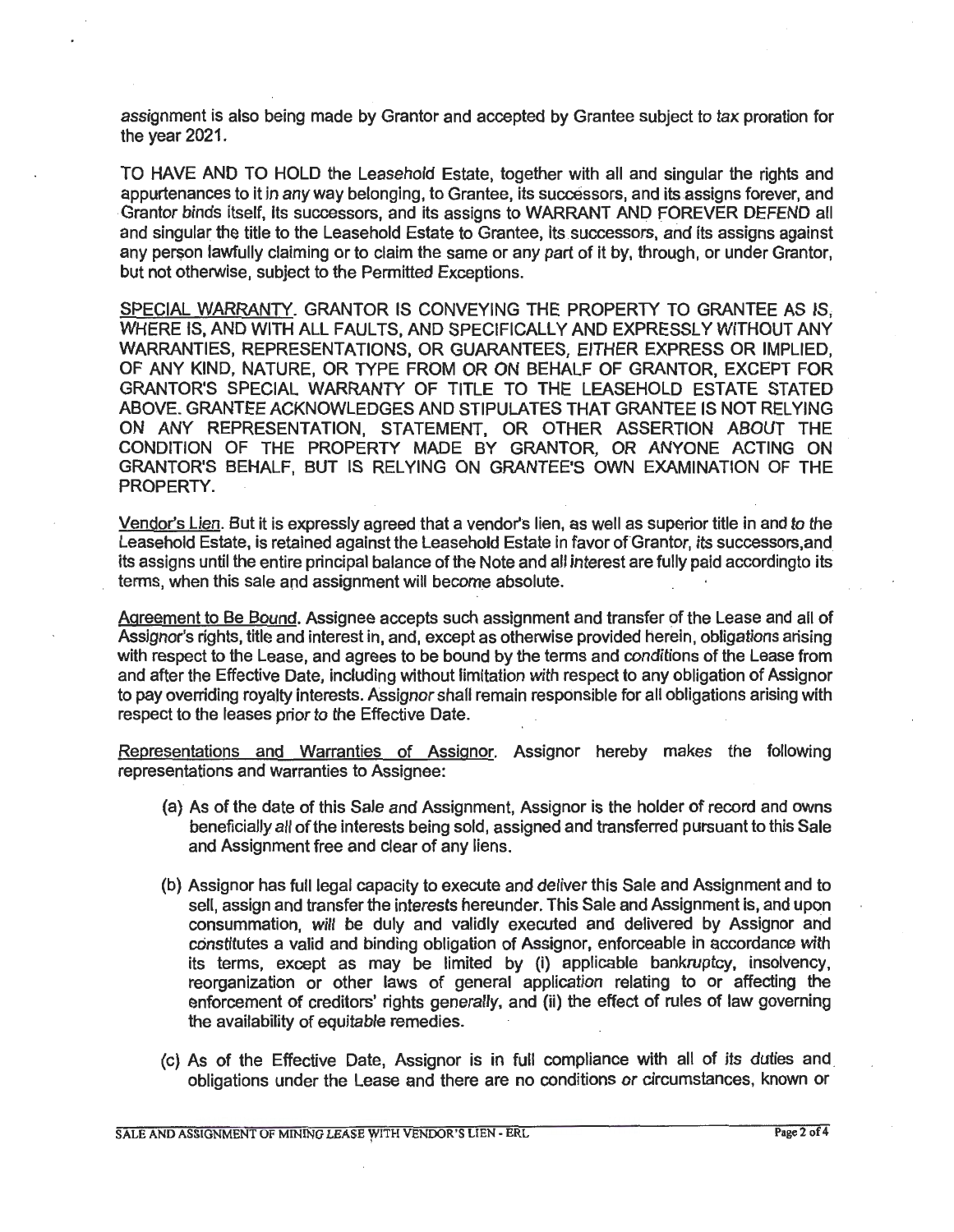assignment is also being made by Grantor and accepted by Grantee subject to tax proration for the year 2021.

TO HAVE AND TO HOLD the Leasehold Estate, together with all and singular the rights and appurtenances to it in any way belonging, to Grantee, its successors, and its assigns forever, and Grantor binds itself, Its successors, and its assigns to WARRANT AND FOREVER DEFEND all and singular the title to the Leasehold Estate to Grantee, its successors, and its assigns against any person lawfully claiming or to claim the same or any part of it by, through, or under Grantor, but not otherwise, subject to the Permitted Exceptions.

SPECIAL WARRANTY. GRANTOR IS CONVEYING THE PROPERTY TO GRANTEE AS IS; WHERE IS, AND WITH ALL FAULTS, AND SPECIFICALLY AND EXPRESSLY WITHOUT ANY WARRANTIES, REPRESENTATIONS, OR GUARANTEES, EITHER EXPRESS OR IMPLIED, OF ANY KIND, NATURE, OR TYPE FROM OR ON BEHALF OF GRANTOR, EXCEPT FOR GRANTOR'S SPECIAL WARRANTY OF TITLE TO THE LEASEHOLD ESTATE STATED ABOVE. GRANTEE ACKNOWLEDGES AND STIPULATES THAT GRANTEE IS NOT REL YING ON ANY REPRESENTATION, STATEMENT, OR OTHER ASSERTION ABOUT THE CONDITION OF THE PROPERTY MADE BY GRANTOR, OR ANYONE ACTING ON GRANTOR'S BEHALF, BUT IS RELYING ON GRANTEE'S OWN EXAMINATION OF THE PROPERTY.

Vendor's Lien. But it is expressly agreed that a vendor's lien, as well as superior title in and to the Leasehold Estate, is retained against the Leasehold Estate in favor of Grantor, its successors.and its assigns until the entire principal balance of the Note and all interest are fully paid accordingto its terms, when this sale and assignment will become absolute.

Agreement to Be Bound. Assignee accepts such assignment and transfer of the Lease and all of Assignor's rights, title and interest in, and, except as otherwise provided herein, obligations arising with respect to the Lease, and agrees to be bound by the terms and conditions of the Lease from and after the Effective Date. including without limitation with respect to any obligation of Assignor to pay overriding royalty interests. Assignor shall remain responsible for all obligations arising with respect to the leases prior to the Effective Date.

Representations and Warranties of Assignor. Assignor hereby makes the following representations and warranties to Assignee:

- (a) As of the date of this Sale and Assignment, Assignor is the holder of record and owns beneficially all of the interests being sold, assigned and transferred pursuant to this Sale and Assignment free and clear of any liens.
- (b) Assignor has full legal capacity to execute and deliver this Sale and Assignment and to sell, assign and transfer the interests hereunder. This Sale and Assignment is, and upon consummation, will be duly and validly executed and delivered by Assignor and constitutes a valid and binding obligation of Assignor, enforceable in accordance with its terms, except as may be limited by (i) applicable bankruptcy, insoivency, reorganization or other laws of general application relating to or affecting the enforcement of creditors' rights generally, and (ii) the effect of rules of law governing the availability of equitable remedies.
- (c) As of the Effective Date, Assignor is in full compliance with all of its duties and . obligations under the Lease and there are no conditions or circumstances, known or

SALE AND ASSIGNMENT OF MINING LEASE WITH VENDOR'S LIEN - ERL '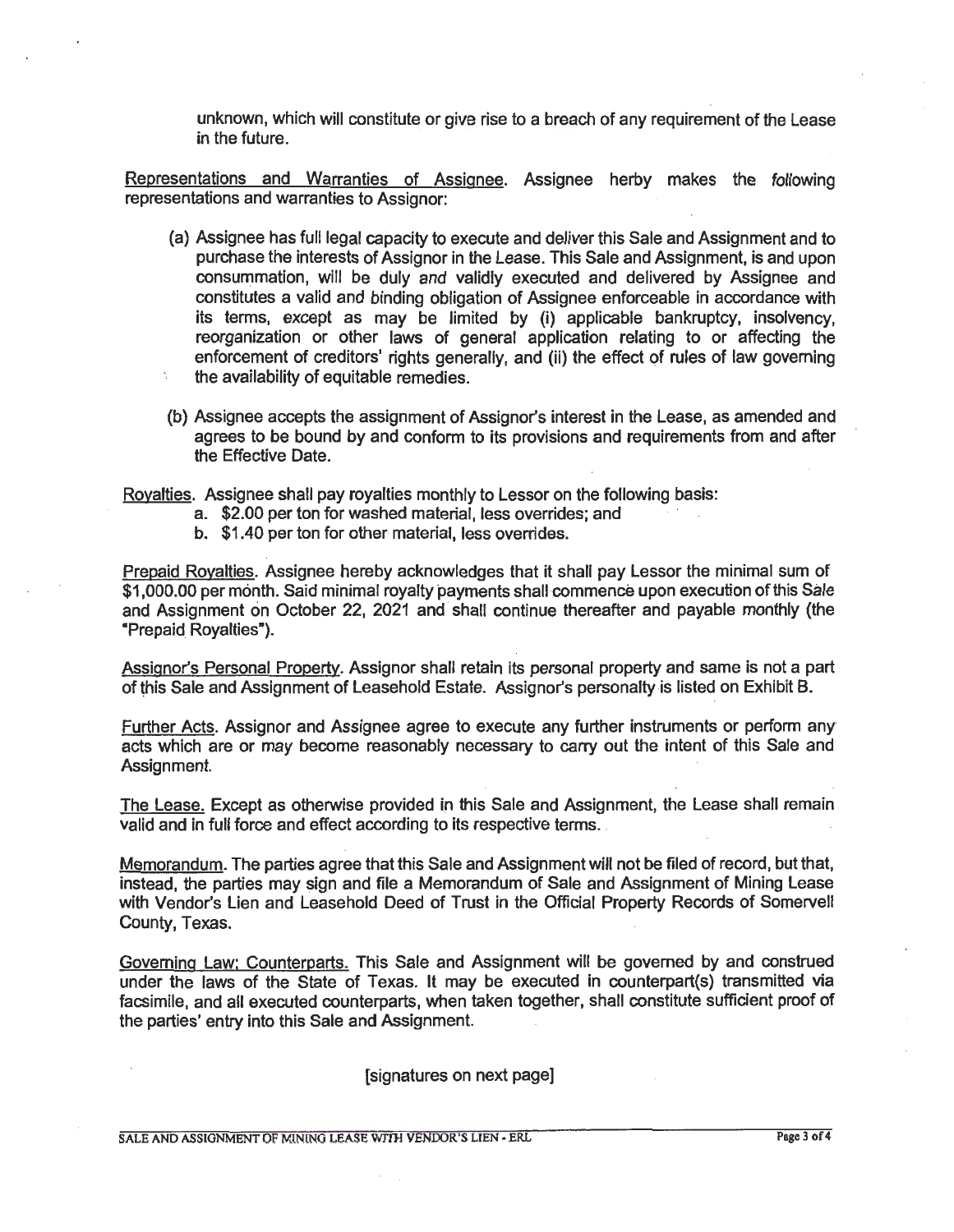unknown, which will constitute or give rise to a breach of any requirement of the Lease in the future.

Representations and Warranties of Assignee. Assignee herby makes the following representations and warranties to Assignor:

- (a) Assignee has full legal capacity to execute and deliver this Sale and Assignment and to purchase the interests of Assignor in the Lease. This Sale and Assignment, is and upon consummation, will be duly and validly executed and delivered by Assignee and constitutes a valid and binding obligation of Assignee enforceable in accordance with its terms, except as may be limited by (i) applicable bankruptcy, insolvency, reorganization or other laws of general application relating to or affecting the enforcement of creditors' rights generally, and (ii) the effect of rules of law governing the availability of equitable remedies.
- (b) Assignee accepts the assignment of Assignor's interest in the Lease, as amended and agrees to be bound by and conform to its provisions and requirements from and after the Effective Date.

Royalties. Assignee shall pay royalties monthly to Lessor on the following basis:

- a. \$2.00 per ton for washed material, less overrides; and
- b. \$1.40 per ton for other material, less overrides.

Prepaid Royalties. Assignee hereby acknowledges that it shall pay Lessor the minimal sum of \$1,000.00 per month. Said minimal royalty payments shall commence upon execution of this Sale and Assignment on October 22, 2021 and shall continue thereafter and payable monthly (the "Prepaid Royalties").

Assignor's Personal Property. Assignor shall retain its personal property and same is not a part of this Sale and Assignment of Leasehold Estate. Assignor's personalty is listed on Exhibit B.

Further Acts. Assignor and Assignee agree to execute any further instruments or perform any· acts which are or may become reasonably necessary to carry out the intent of this Sale and Assignment.

The Lease. Except as otherwise provided in this Sale and Assignment, the Lease shall remain valid and in full force and effect according to its respective terms.

Memorandum. The parties agree that this Sale and Assignment will not be filed of record, but that, instead, the parties may sign and file a Memorandum of Sale and Assignment of Mining Lease with Vendor's Lien and Leasehold Deed of Trust in the Official Property Records of Somervell County, Texas.

Governing Law: Counterparts. This Sale and Assignment will be governed by and construed under the laws of the State of Texas. It may be executed in counterpart(s) transmitted via facsimile, and all executed counterparts, when taken together, shall constitute sufficient proof of the parties' entry into this Sale and Assignment.

[signatures on next page]

SALE AND ASSIGNMENT OF MINING LEASE WITH VENDOR'S LIEN - EIRL Page 3 of 4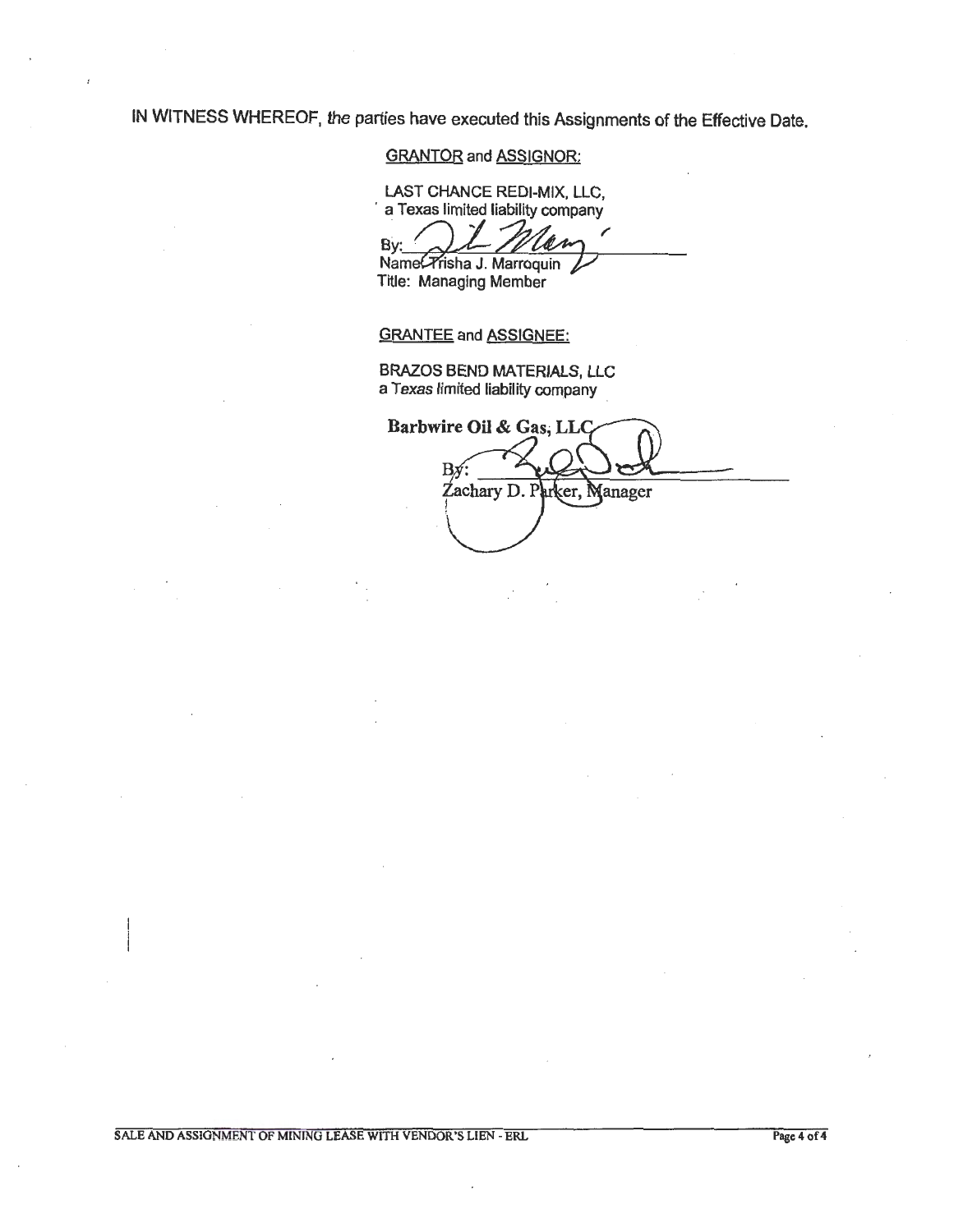IN WITNESS WHEREOF, the parties have executed this Assignments of the Effective Date.

### GRANTOR and ASSIGNOR:

LAST CHANCE REDI-MIX, LLC, · a Texas limited liability company

 $B$ y:  $\underbrace{\bigcup L \mathcal{M}}$   $\underbrace{\hspace{1cm}}$ <br>Name(Trisha J. Marroquin) ANCE REDI-MIX, LLC,<br>mited liability company<br>I\_*Mlaw* 

Title: Managing Member

GRANTEE and ASSIGNEE:

BRAZOS BEND MATERIALS, LLC a Texas limited liability company .

Barbwire Oil & Gas, LLC Bx Zachary D. P arker, Manager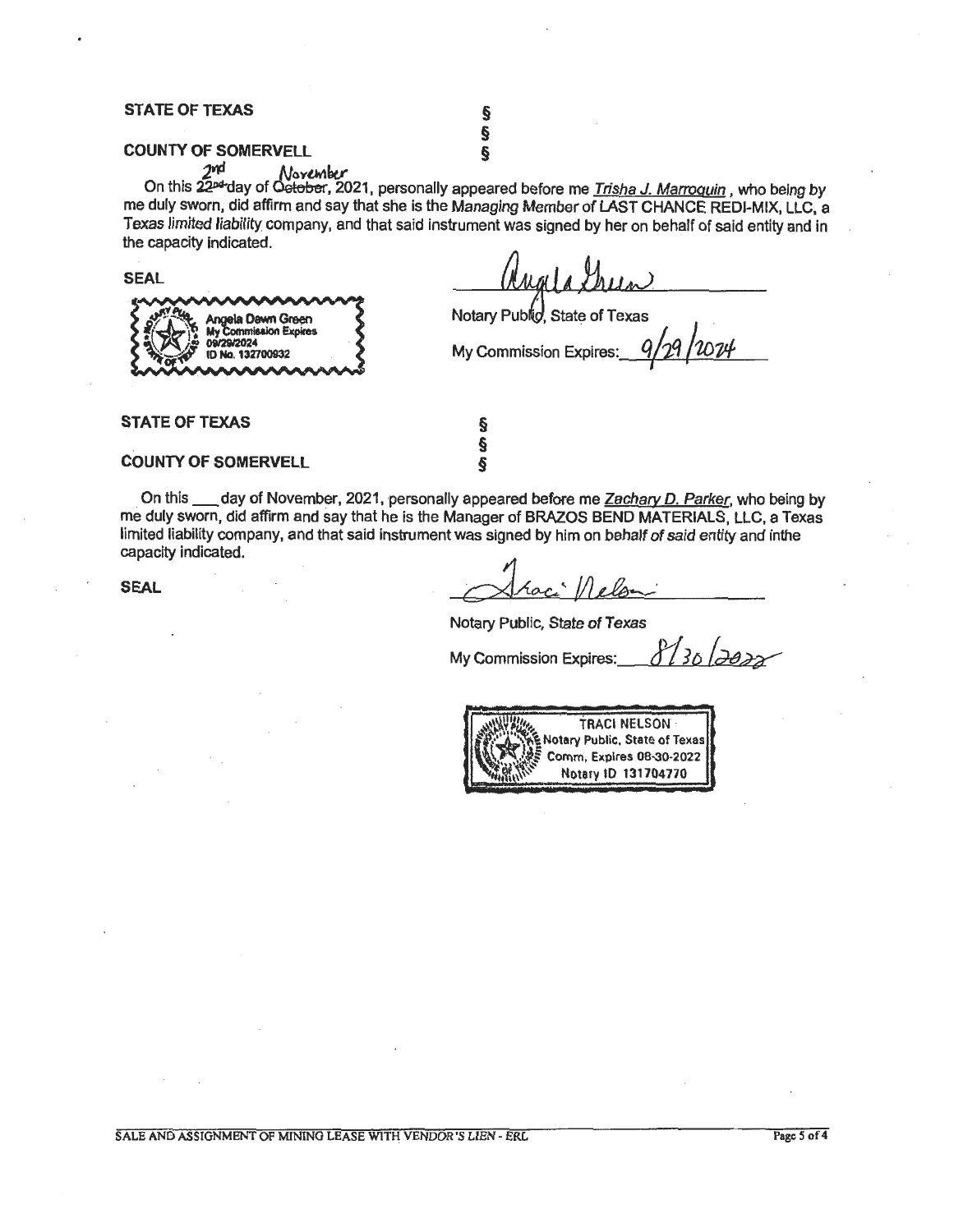### **STATE OF TEXAS**

### **COUNTY OF SOMERVELL** §

§

2nd November On this 22<del>¤</del>"day of Oe<del>tober</del>, 2021, personally appeared before me <u>Trisha J. Marroquin</u> , who being by me duly sworn, did affirm and say that she is the Managing Member of LAST CHANCE REDI-MIX, LLC, a Texas limited liability company, and that said instrument was signed by her on behalf of said entity and in the capacity indicated.

**SEAL** 

la Dawn Green 132700932

Notary Public, State of Texas

**My Commission Expires:** 

**STATE OF TEXAS** 

### **COUNTY OF SOMERVELL**

On this \_\_\_ day of November, 2021, personally appeared before me Zachary D. Parker, who being by me duly sworn, did affirm and say that he is the Manager of BRAZOS BEND MATERIALS, LLC, a Texas limited liability company, and that said instrument was signed by him on behalf of said entity and inthe capacity indicated.

§ § §

**SEAL** 

Notary Public, State of Texas

My Commission Expires: *8130 | <del>2022*</del>

 $^{\prime\prime\prime\prime\prime\prime}_{\prime\prime\prime}$ **TRACI NELSON** .<br>**Jotary Public, State of Texas**<br>Comm, Expires 08-30-2022 Notary ID 131704770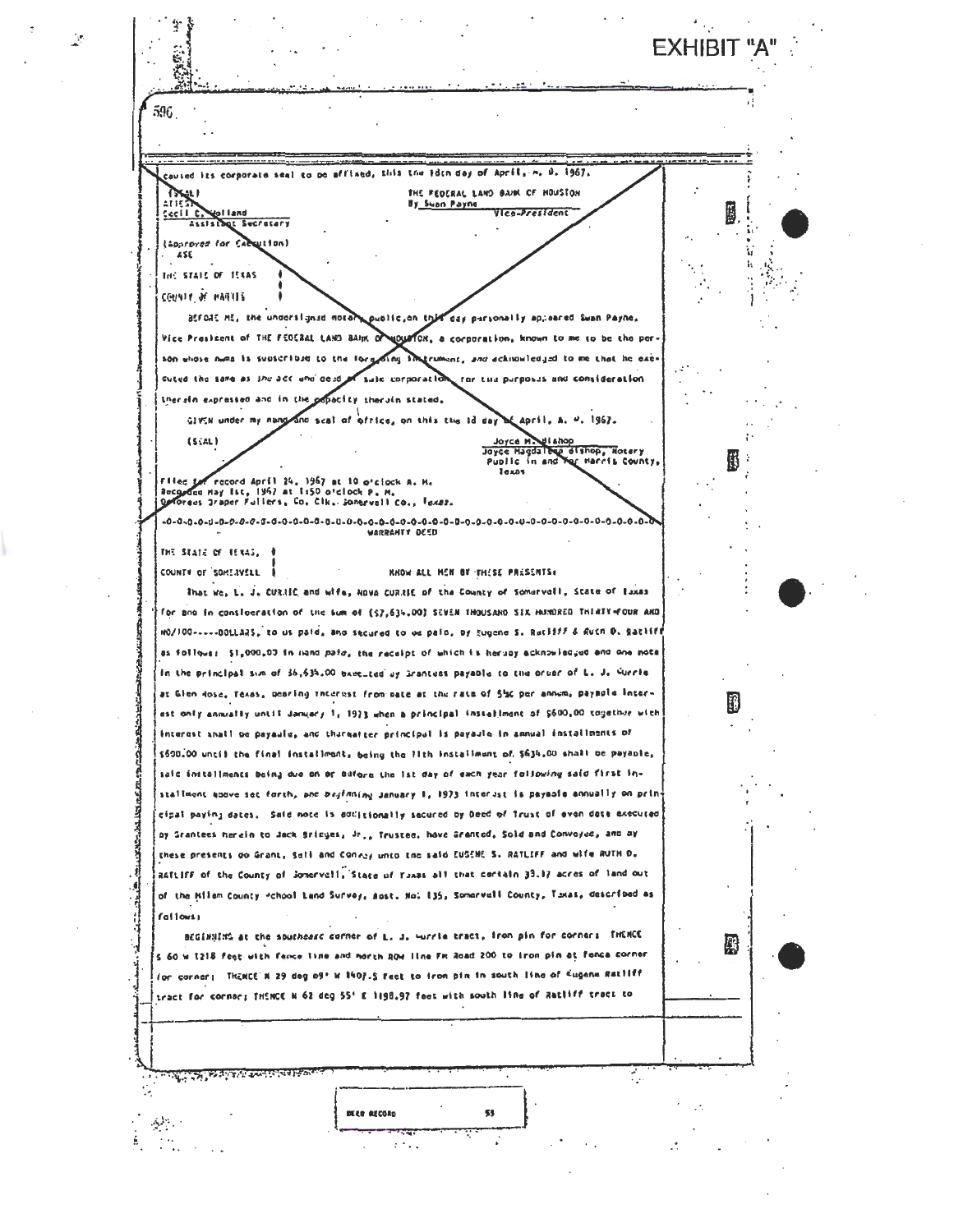**FXHIBIT "A** 596 caused its corporate seal to be affixed, this the iden-day of April, m, D, 1967, **TIKALI** THE FEDERAL LAND BANK OF HOUSTON  $2715$ By Swan Payne 1923 **Stolland** VIce-President  $sec110$ Secretary (Sparoved for Execution)  $455$ THE STATE OF TEXAS COUNTY OF MATTIS atroit Mt, the undersigned noter public, on this day personally appeared Swan Payne, Vice President of THE FEDERAL LAND BAIN OF MOUSTON, a corporation, known to me to be the per son whose nume is subscribed to the forest  $\frac{1}{2}$ *itrument, and ackinowledged to a* cuted the same as the act une deed sule corporation for the purposes and consideration therein expressed and in the popacity therein stated. GIVEN under my nang and scal of office, on this the id day of april, A. U. 1967. Joyce Maulthop<br>Joyce Hagdalene dishop, Notery<br>Punile in and Mar Marcis County  $(S<sub>1</sub>AL)$ Joyc less Flied for record April 24, 1967 at 10 o'clock A. M.<br>Recorded May 1st, 1967 at 1:50 o'clock P. M.<br>Opforees 3raper Fullers, Co, Clk. Sonervell Co., Igxas. WARRANTY DEED THE STATE OF TEXAS, 0 **RROW ALL HEN BY THESE PRESENTS:** COUNTY OF SOME IVELL That we, L. J. CURRIC and wife, NOVA CURRIC of the County of Somervall, State of Eaxas for and in consideration of the sum of (57,634,00) SEVEN THOUSARD SIX HUMORED THIRTY-FOUR ARD mo/100-----00LLARS, to us paid, ano secured to us paid, by Eugene S. Ratliff & Ruth D. Ratlif as follows: \$1,000,00 in mand paid, the receipt of which is herupy acknowledged and one note In the principal sum of 36,534.00 baccited by Grantues payable to the order of L. J. Guerie at Gien Rose, Texas, pearing interest from mate at the rate of 5% per annum, paymule inter-K est only annually until January 1, 1973 when a principal installment of \$600,00 together with Interest shall be payaule, and thureateer principal is payaulo in annual installments of \$500.00 until the final installment, being the lith installment of \$634.00 shall be payable, saic initaliments being due on or before the lat day of each year following said first installment soove set forth, and biginning January 1, 1973 interest is payable annually on prin cipat paying dates. Said note is additionally sadured by Deed of Trust of even date acecuted by Grantees herein to Jack Bricyes, Jr., Trustee, hove Granted, Sold and Conveyed, and ay these presents do Grant, Sali and Conzey unto the said EUGENE S. RATLIFF and wife RUTH D. RATLIFF of the County of Jonervell, State of Youas all that certain 33.17 acres of land out of the Milam County \*chool Land Survey, Aust. No: 135, Somervell County, Taxas, described as fallows) BEGINNING at the southeast corner of L. J. Wurrie tract, fron pin for corner: INENCE 殿 S 60 W 1218 feet with (ence line and morth ROW IIne FM Road 200 to Iron pin at fenca corner for corner; THENCE N 29 dag of' N 1407.5 Feet to from pin in south line of Eugena Ratliff tract for corner; THENCE N 62 deg 55' E 1198.97 feet with south line of Ratliff tract to ल्लामा अस्ति काले अस्ति केन्द्र संस्थान संस्था ٠, DERE RECORD 53  $\Delta\mathcal{P}$  . रसंब  $\mathbb{C}^n$  $2.74$